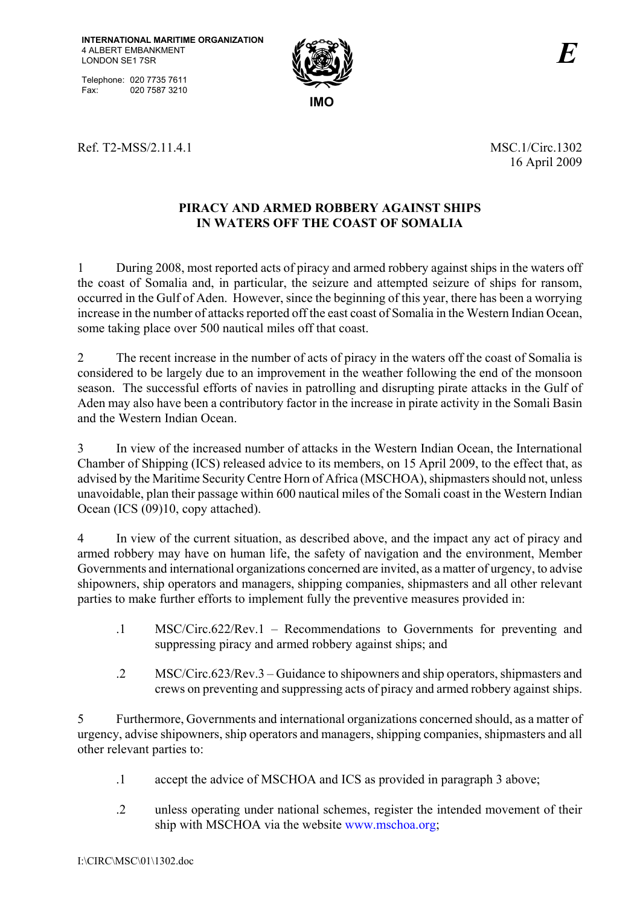Telephone: 020 7735 7611 Fax: 020 7587 3210



Ref. T2-MSS/2.11.4.1 MSC.1/Circ.1302

16 April 2009

# **PIRACY AND ARMED ROBBERY AGAINST SHIPS IN WATERS OFF THE COAST OF SOMALIA**

1 During 2008, most reported acts of piracy and armed robbery against ships in the waters off the coast of Somalia and, in particular, the seizure and attempted seizure of ships for ransom, occurred in the Gulf of Aden. However, since the beginning of this year, there has been a worrying increase in the number of attacks reported off the east coast of Somalia in the Western Indian Ocean, some taking place over 500 nautical miles off that coast.

2 The recent increase in the number of acts of piracy in the waters off the coast of Somalia is considered to be largely due to an improvement in the weather following the end of the monsoon season. The successful efforts of navies in patrolling and disrupting pirate attacks in the Gulf of Aden may also have been a contributory factor in the increase in pirate activity in the Somali Basin and the Western Indian Ocean.

3 In view of the increased number of attacks in the Western Indian Ocean, the International Chamber of Shipping (ICS) released advice to its members, on 15 April 2009, to the effect that, as advised by the Maritime Security Centre Horn of Africa (MSCHOA), shipmasters should not, unless unavoidable, plan their passage within 600 nautical miles of the Somali coast in the Western Indian Ocean (ICS (09)10, copy attached).

4 In view of the current situation, as described above, and the impact any act of piracy and armed robbery may have on human life, the safety of navigation and the environment, Member Governments and international organizations concerned are invited, as a matter of urgency, to advise shipowners, ship operators and managers, shipping companies, shipmasters and all other relevant parties to make further efforts to implement fully the preventive measures provided in:

- .1 MSC/Circ.622/Rev.1 Recommendations to Governments for preventing and suppressing piracy and armed robbery against ships; and
- .2 MSC/Circ.623/Rev.3 Guidance to shipowners and ship operators, shipmasters and crews on preventing and suppressing acts of piracy and armed robbery against ships.

5 Furthermore, Governments and international organizations concerned should, as a matter of urgency, advise shipowners, ship operators and managers, shipping companies, shipmasters and all other relevant parties to:

- .1 accept the advice of MSCHOA and ICS as provided in paragraph 3 above;
- .2 unless operating under national schemes, register the intended movement of their ship with MSCHOA via the website www.mschoa.org;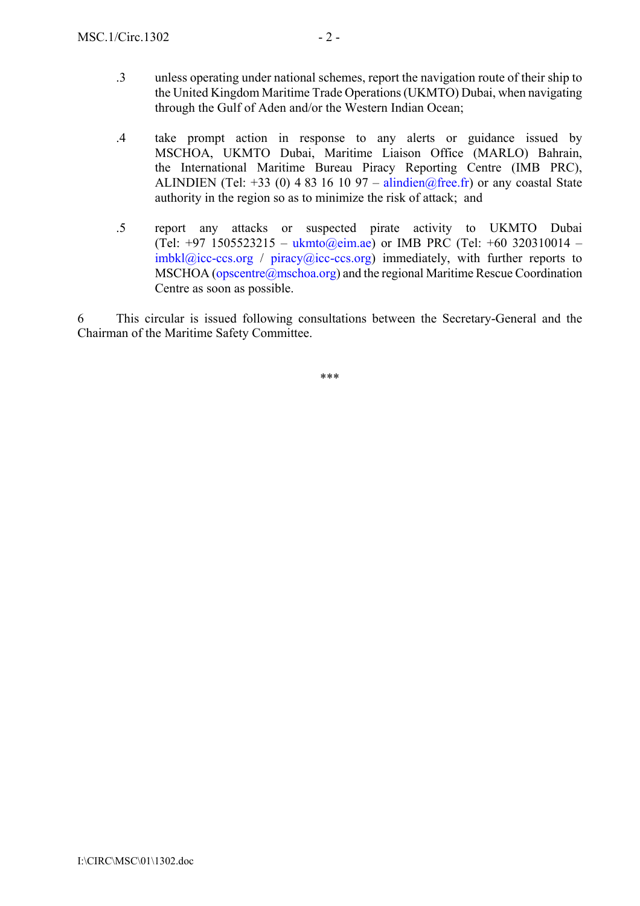- .3 unless operating under national schemes, report the navigation route of their ship to the United Kingdom Maritime Trade Operations (UKMTO) Dubai, when navigating through the Gulf of Aden and/or the Western Indian Ocean;
- .4 take prompt action in response to any alerts or guidance issued by MSCHOA, UKMTO Dubai, Maritime Liaison Office (MARLO) Bahrain, the International Maritime Bureau Piracy Reporting Centre (IMB PRC), ALINDIEN (Tel: +33 (0) 4 83 16 10 97 – alindien@free.fr) or any coastal State authority in the region so as to minimize the risk of attack; and
- .5 report any attacks or suspected pirate activity to UKMTO Dubai (Tel: +97 1505523215 – ukmto@eim.ae) or IMB PRC (Tel: +60 320310014 –  $imbkl@icc-ccs.org$  / piracy $@icc-ccs.org$  immediately, with further reports to MSCHOA (opscentre@mschoa.org) and the regional Maritime Rescue Coordination Centre as soon as possible.

6 This circular is issued following consultations between the Secretary-General and the Chairman of the Maritime Safety Committee.

\*\*\*